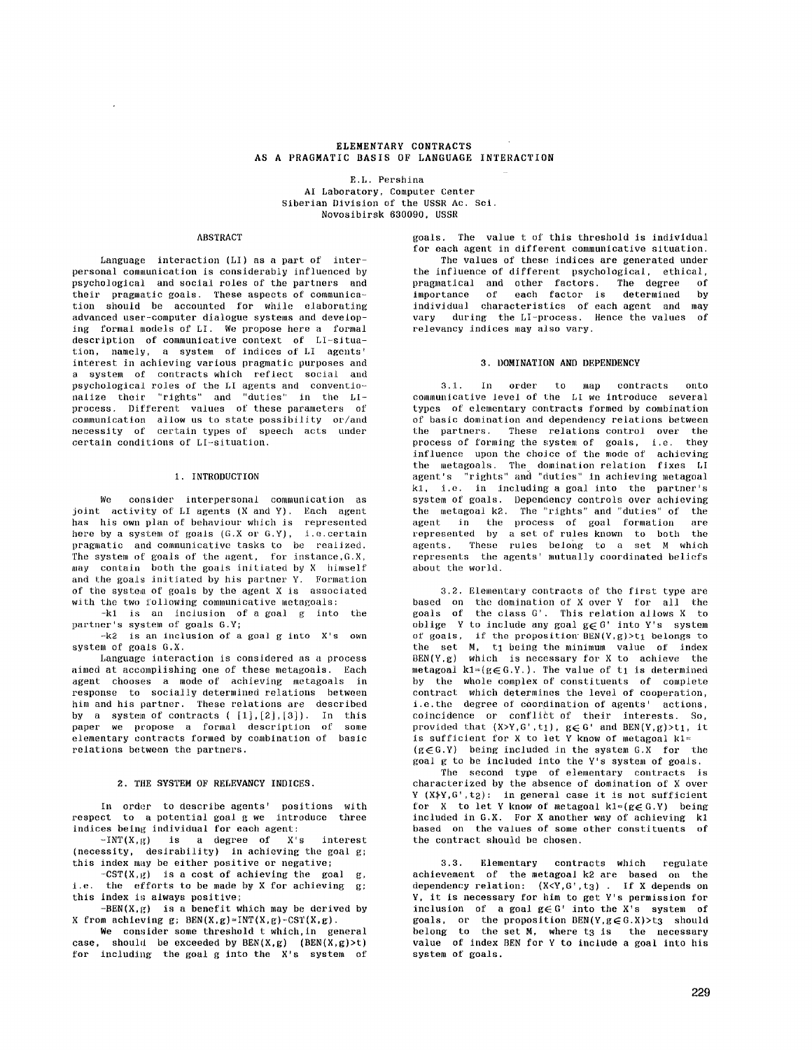# **ELEMENTARY CONTRACTS AS A PRAGMATIC BASIS OF LANGUAGE INTERACTION**

E.L. Pershina AI Laboratory, Computer Center Siberian Division of the USSR Ae. Sei. Novosibirsk 630090, USSR

#### ABSTRACT

Language interaction (LI) as a part of interpersonal communication is considerably influenced by psychological and social roles of the partners and their pragmatic goals. These aspects of communication should be accounted for while elaborating advanced user-computer dialogue systems and developing formal models of LI. We propose here a formal description of communicative context of Li-situation, namely, a system of indices of LI agents' interest in achieving various pragmatic purposes and a system of contracts which reflect social and psychological roles of the LI agents and conventionalize their "rights" and "duties" in the LIprocess. Different values of these parameters of communication allow us to state possibility or/and necessity of certain types of speech acts under certain conditious of LI-situation.

### **1. INTRODUCTION**

We consider interpersonal communication as joint activity of LI agents (X and Y). Each agent has his own plan of behaviour which is represented here by a system of goals (G.X or G.Y), i.e.certain pragmatic and communicative tasks to be realized. The system of goals of the agent, for instance,G.X, may contain both the goals initiated by X himself and the goals initiated by his partner Y. Formation of the system of goals by the agent X is associated with the two following communicative metagoals:

-kl is an inclusion of a goal g into the partner's system of goals G.Y;

-k2 is an inclusion of a goal g into X's own system of goals G.X.

Language interaction is considered as a process aimed at accomplishing one of these metagoals. Each agent chooses a mode of achieving metagoals in response to socially determined relations between him and his partner. These relations are described by a system of contracts ([1],[2],[3]). In this paper we propose a formal description of some elementary contracts formed by combination of basic relations between the partners.

#### **2. THE SYSTEM OF RELEVANCY INDICES.**

In order to describe agents' positions with respect to a potential goal g we introduce three indices being individual for each agent:

 $-INT(X, g)$  is a degree of X's interest (necessity, desirability) in achieving the goal  $g$ ; this index may be either positive or negative;

 $-CST(X,g)$  is a cost of achieving the goal g, i.e. the efforts to be made by X for achieving g; this index is always positive;

 $-BEN(X, g)$  is a benefit which may be derived by X from achieving  $g$ ;  $BEN(X, g) = INT(X, g) - CST(X, g)$ .

We consider some threshold t which, in general case, should be exceeded by  $BEN(X,g)$  ( $BEN(X,g)>t$ ) for including the goal g into the X's system of

goals. The value t of this threshold is indivldual for each agent in different communicative situation. The values of these indices are generated under the influence of different psychological, ethical,<br>pragmatical and other factors. The degree of pragmatical and other factors. The degree of importance of each factor is determined by individual characteristics of each agent and may vary during the LI-process. Hence the values of

## **3. DOMINATION AND DEPENDENCY**

relevancy indices may also vary.

3.1. In order to map contracts onto communicative level of the LI we introduce several types of elementary contracts formed by combination of basic domination and dependency relations between the partners. These relations control over the process of forming the system of goals, i.e. they influence upon the choice of the mode of achieving the metagoals. The domination relation fixes LI agent's "rights" and "duties" in achieving metagoal kl, i.e. in including a goal into the partner's system of goals. Dependency controls over achieving the metagoal k2. The "rights" and "duties" of the agent in the process of goal formation are represented by a set of rules known to both the agents. These rules belong to a set M which represents the agents' mutually coordinated beliefs about the world.

3.2. Elementary contracts of the first type are based on the domination of X over Y for all the goals of the class G'. This relation allows X to oblige Y to include any goal  $g\in G'$  into Y's system of goals, if the proposition  $BEN(Y,g)>t_1$  belongs to the set M, t1 being the minimum value of index BEN(Y,g) which is necessary for X to achieve the metagoal kl=( $g \in G.Y.$ ). The value of t1 is determined by the whole complex of constituents of complete contract which determines the level of cooperation, i.e.the degree of coordination of agents' actions, coincidence or conflict of their interests. So, provided that  $(X>Y, G', t_1)$ ,  $g \in G'$  and  $BEN(Y, g) > t_1$ , it is sufficient for X to let Y know of metagoal  $k1 =$  $(g \in G.Y)$  being included in the system  $G.X$  for the goal g to be included into the Y's system of goals.

The second type of elementary contracts is characterized by the absence of domination of X over Y  $(X\$ Y,G',t\_2): in general case it is not sufficient for X to let Y know of metagoal  $k1 = (g \in G, Y)$  being included in G.X. For X another way of achieving kl based on the values of some other constituents of the contract should be chosen.

3.3. Elementary contracts which regulate achievement of the metagoal k2 are based on the dependency relation:  $(X\langle Y,G',t_3\rangle)$ . If X depends on Y, it is necessary for him to get Y's permission for inclusion of a goal  $g \in G'$  into the X's system of goals, or the proposition BEN(Y,  $g \in G$ .X)>t3 should belong to the set M, where t3 is the necessary value of index BEN for V to include a goal into his system of goals.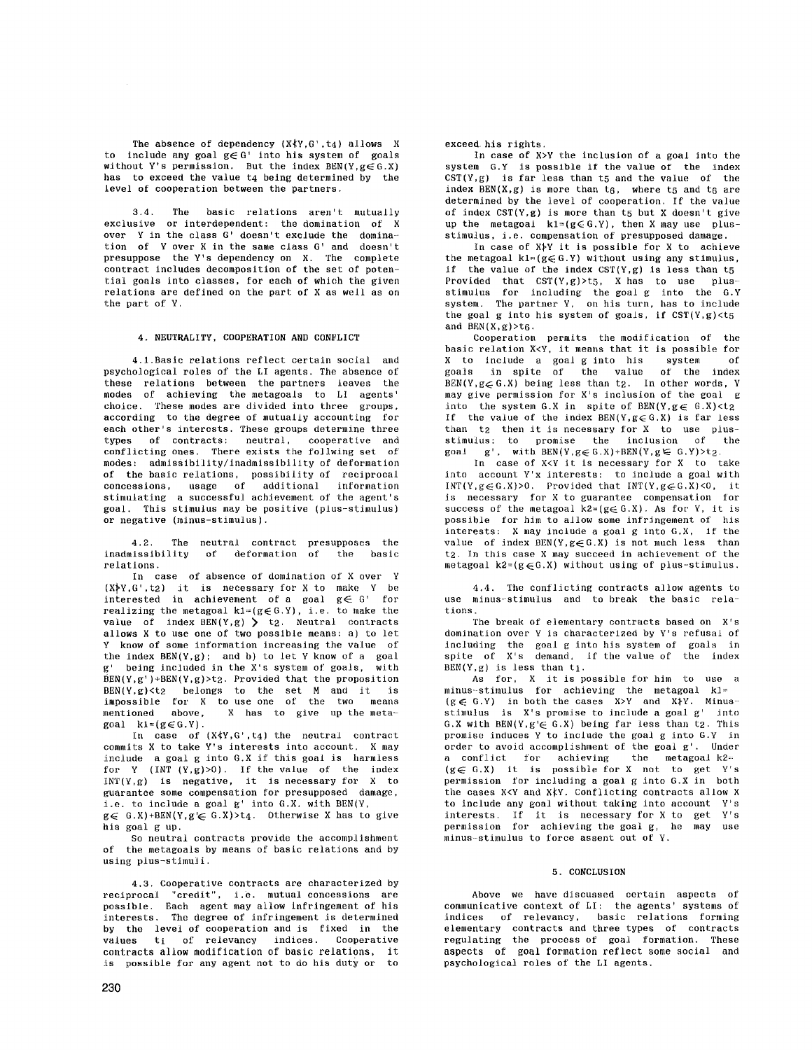The absence of dependency  $(X \nmid Y, G', t_4)$  allows X to include any goal  $g \in G'$  into his system of goals without Y's permission. But the index  $BEN(Y, g \in G.X)$ has to exceed the value t4 being determined by the level of cooperation between the partners.

3.4. The basic relations aren't mutually exclusive or interdependent: the domination of X over Y in the class G' doesn't exclude the domination of Y over X in the same class G' and doesn't presuppose the Y's dependency on X. The complete contract includes decomposition of the set of potential goals into classes, for each of which the given relations are defined on the part of X as well as on the part of Y,

### 4. NEUTRALITY, COOPERATION AND CONFLICT

4.l.Basie relations reflect certain social and psychological roles of the LI agents. The absence of these relations between the partners leaves the modes of achieving the metagoals to LI agents' choice. These modes are divided into three groups, according to the degree of mutually accounting for each other's interests. These groups determine three types of contracts: neutral, cooperative and conflicting ones. There exists the follwing set of modes: admissibility/inadmissibility of deformation of the basic relations, possibility of reciprocal concessions, usage of additional information stimulating a successful achievement of the agent's goal. This stimulus may be positive (plus-stimulus) or negative (minus-stimulus).

4,2. The neutral contract presupposes the inadmissibility of deformation of the basic relations.

In case of absence of domination of X over Y  $(X\overline{Y},G',t_2)$  it is necessary for X to make Y be interested in achievement of a goal  $g \in G'$  for realizing the metagoal  $k1=(g\in G.Y)$ , i.e. to make the value of index  $BEN(Y, g) > t_2$ . Neutral contracts allows X to use one of two possible means: a) to let Y know of some information increasing the value of the index  $BEN(Y,g)$ ; and b) to let Y know of a goal g' being included in the X's system of goals, with  $BEN(Y, g'$ )+BEN(Y,g)>t2. Provided that the proposition  $BEN(Y,g) < t_2$  belongs to the set M and it is impossible for X to use one of the two means mentioned above, X has to give up the meta $goal$  k<sub>1</sub>=( $g \in G$ .Y).

In case of  $(X \nless Y, G', t_4)$  the neutral contract commits X to take Y's interests into account. X may include a goal g into G.X if this goal is harmless for Y (INT  $(Y, g) > 0$ ). If the value of the index  $INT(Y, g)$  is negative, it is necessary for X to guarantee some compensation for presupposed damage, i.e. to include a goal g' into G.X. with BEN(Y,

 $g \in G.X$ )+BEN(Y,g'  $\in G.X$ )>t4. Otherwise X has to give his goal g up.

So neutral contracts provide the accomplishment of the metagoals by means of basic relations and by using plus-stimuli.

4.3. Cooperative contracts are characterized by reciprocal "credit", i.e. mutual concessions are possible. Each agent may allow infringement of his interests. The degree of infringement is determined by the level of cooperation and is fixed in the values ti of relevancy indices. Cooperative contracts allow modification of basic relations, it is possible for any agent not to do his duty or to

exceed, his rights.

In case of X>Y the inclusion of a goal into the system G.Y is possible if the value of the index  $CST(Y, g)$  is far less than t5 and the value of the index  $BEN(X,g)$  is more than  $t_6$ , where  $t_5$  and  $t_6$  are determined by the level of cooperation. If the value of index  $CST(Y,g)$  is more than t5 but X doesn't give up the metagoal  $k1=(g\in G,Y)$ , then X may use plusstimulus, i.e. compensation of presupposed damage.

In case of  $X\rightarrow Y$  it is possible for X to achieve the metagoal  $k1 = (g \in G.Y)$  without using any stimulus, if the value of the index  $CST(Y,g)$  is less than  $t_5$ Provided that  $CST(Y,g) > t_5$ , X has to use plusstimulus for including the goal g into the G.Y system. The partner Y, on his turn, has to include the goal g into his system of goals, if  $CST(Y,g) < t_5$ and  $BEN(X,g)$ >t6.

Cooperation permits the modification of the basic relation X<Y, it means that it is possible for X to include a goal g into his system of goals in spite of the value of the index  $BEN(Y, g\in G.X)$  being less than t2. In other words, Y may give permission for X's inclusion of the goal g into the system G.X in spite of  $BEN(Y, g \in G.X) < t_2$ If the value of the index  $BEN(Y, g\in G.X)$  is far less than t<sub>2</sub> then it is necessary for X to use plusstimulus: to promise the inclusion of the goal  $g'$ , with  $BEN(Y, g \in G.X) + BEN(Y, g \in G.Y) > t_2$ .

In case of X<Y it is necessary for X to take into account Y'x interests: to include a goal with  $INT(Y, g \in G.X) > 0$ . Provided that  $INT(Y, g \in G.X) < 0$ , it is necessary for X to guarantee compensation for success of the metagoal  $k2 = (g \in G.X)$ . As for Y, it is possible for him to allow some infringement of his interests: X may include a goal g into G.X, if the value of index  $BEN(Y, g \in G.X)$  is not much less than t<sub>2</sub>. In this case X may succeed in achievement of the metagoal  $k2=(g\in G.X)$  without using of plus-stimulus.

4.4. The conflicting contracts allow agents to use minus-stimulus and to break the basic relations.

The break of elementary contracts based on X's domination over V is characterized by Y's refusal of including the goal g into his system of goals in  $s$ pite of  $X's$  demand, if the value of the index  $BEN(Y, g)$  is less than  $t_1$ .

As for, X it is possible for him to use a minus--stimulus for achieving the metagoal k]=  $(g \in G.Y)$  in both the cases  $X>Y$  and  $X/Y$ . Minusstimulus is X's promise to include a goal g' into G.X with  $BEN(Y, g' \in G.X)$  being far less than t2. This promise induces Y to inclade the goal g into G.Y in order to avoid accomplishment of the goal g'. Under a conflict for achieving the metagoal k2= (g $\in$  G.X) it is possible for X not to get Y's permission for including a goal g into G.X in both the cases X<Y and X $k$ Y. Conflicting contracts allow X to include any goal without taking into account Y's interests. If it is necessary for X to get Y's permission for achieving the goal g, he may use minus-stimulus to force assent out of Y.

## 5. CONCLUSION

Above we have discussed certain aspects of communicative context of LI: the agents' systems of indices of relevancy, basic relations forming elementary contracts and three types of contracts regulating the process of goal formation. These aspects of goal formation reflect some social and psychologica] roles of the LI agents,